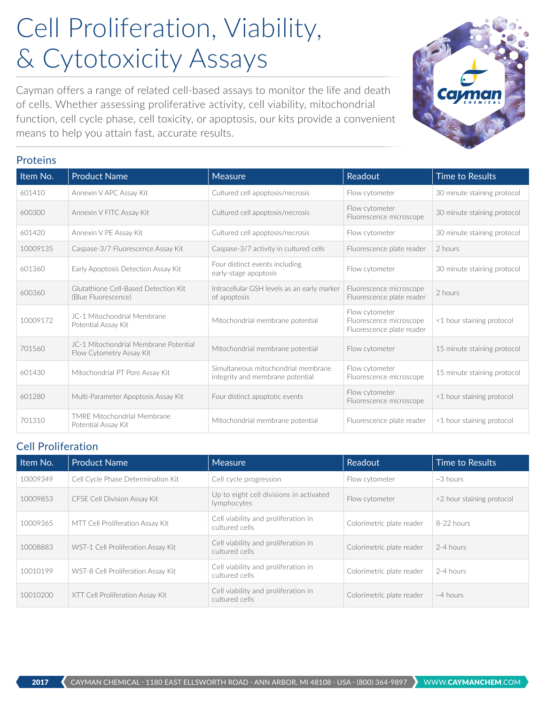## Cell Proliferation, Viability, & Cytotoxicity Assays

Cayman offers a range of related cell-based assays to monitor the life and death of cells. Whether assessing proliferative activity, cell viability, mitochondrial function, cell cycle phase, cell toxicity, or apoptosis, our kits provide a convenient means to help you attain fast, accurate results.

|  | <b>Proteins</b> |
|--|-----------------|
|  |                 |
|  |                 |

| Item No. | <b>Product Name</b>                                               | <b>Measure</b>                                                          | Readout                                                                | <b>Time to Results</b>      |
|----------|-------------------------------------------------------------------|-------------------------------------------------------------------------|------------------------------------------------------------------------|-----------------------------|
| 601410   | Annexin V APC Assay Kit                                           | Cultured cell apoptosis/necrosis                                        | Flow cytometer                                                         | 30 minute staining protocol |
| 600300   | Annexin V FITC Assay Kit                                          | Cultured cell apoptosis/necrosis                                        | Flow cytometer<br>Fluorescence microscope                              | 30 minute staining protocol |
| 601420   | Annexin V PE Assay Kit                                            | Cultured cell apoptosis/necrosis                                        | Flow cytometer                                                         | 30 minute staining protocol |
| 10009135 | Caspase-3/7 Fluorescence Assay Kit                                | Caspase-3/7 activity in cultured cells                                  | Fluorescence plate reader                                              | 2 hours                     |
| 601360   | Early Apoptosis Detection Assay Kit                               | Four distinct events including<br>early-stage apoptosis                 | Flow cytometer                                                         | 30 minute staining protocol |
| 600360   | Glutathione Cell-Based Detection Kit<br>(Blue Fluorescence)       | Intracellular GSH levels as an early marker<br>of apoptosis             | Fluorescence microscope<br>Fluorescence plate reader                   | 2 hours                     |
| 10009172 | JC-1 Mitochondrial Membrane<br>Potential Assay Kit                | Mitochondrial membrane potential                                        | Flow cytometer<br>Fluorescence microscope<br>Fluorescence plate reader | <1 hour staining protocol   |
| 701560   | JC-1 Mitochondrial Membrane Potential<br>Flow Cytometry Assay Kit | Mitochondrial membrane potential                                        | Flow cytometer                                                         | 15 minute staining protocol |
| 601430   | Mitochondrial PT Pore Assay Kit                                   | Simultaneous mitochondrial membrane<br>integrity and membrane potential | Flow cytometer<br>Fluorescence microscope                              | 15 minute staining protocol |
| 601280   | Multi-Parameter Apoptosis Assay Kit                               | Four distinct apoptotic events                                          | Flow cytometer<br>Fluorescence microscope                              | <1 hour staining protocol   |
| 701310   | <b>TMRF Mitochondrial Membrane</b><br>Potential Assay Kit         | Mitochondrial membrane potential                                        | Fluorescence plate reader                                              | <1 hour staining protocol   |

## Cell Proliferation

| Item No. | <b>Product Name</b>                | <b>Measure</b>                                         | Readout                   | <b>Time to Results</b>    |
|----------|------------------------------------|--------------------------------------------------------|---------------------------|---------------------------|
| 10009349 | Cell Cycle Phase Determination Kit | Cell cycle progression                                 | Flow cytometer            | $~\sim$ 3 hours           |
| 10009853 | CFSE Cell Division Assay Kit       | Up to eight cell divisions in activated<br>lymphocytes | Flow cytometer            | <2 hour staining protocol |
| 10009365 | MTT Cell Proliferation Assay Kit   | Cell viability and proliferation in<br>cultured cells  | Colorimetric plate reader | 8-22 hours                |
| 10008883 | WST-1 Cell Proliferation Assay Kit | Cell viability and proliferation in<br>cultured cells  | Colorimetric plate reader | 2-4 hours                 |
| 10010199 | WST-8 Cell Proliferation Assay Kit | Cell viability and proliferation in<br>cultured cells  | Colorimetric plate reader | 2-4 hours                 |
| 10010200 | XTT Cell Proliferation Assay Kit   | Cell viability and proliferation in<br>cultured cells  | Colorimetric plate reader | $~\sim$ 4 hours           |